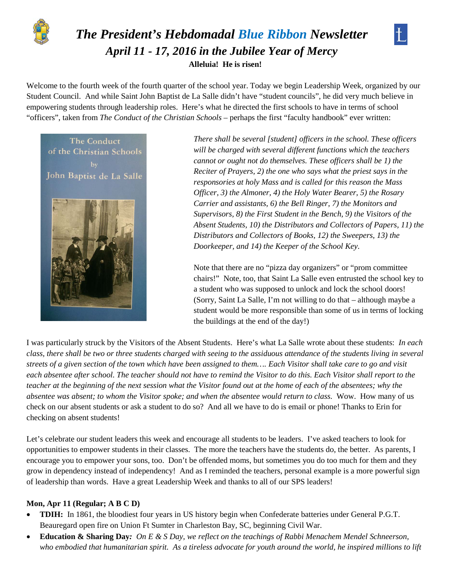

# *The President's Hebdomadal Blue Ribbon Newsletter April 11 - 17, 2016 in the Jubilee Year of Mercy* **Alleluia! He is risen!**



Welcome to the fourth week of the fourth quarter of the school year. Today we begin Leadership Week, organized by our Student Council. And while Saint John Baptist de La Salle didn't have "student councils", he did very much believe in empowering students through leadership roles. Here's what he directed the first schools to have in terms of school "officers", taken from *The Conduct of the Christian Schools –* perhaps the first "faculty handbook" ever written:



*There shall be several [student] officers in the school. These officers will be charged with several different functions which the teachers cannot or ought not do themselves. These officers shall be 1) the Reciter of Prayers, 2) the one who says what the priest says in the responsories at holy Mass and is called for this reason the Mass Officer, 3) the Almoner, 4) the Holy Water Bearer, 5) the Rosary Carrier and assistants, 6) the Bell Ringer, 7) the Monitors and Supervisors, 8) the First Student in the Bench, 9) the Visitors of the Absent Students, 10) the Distributors and Collectors of Papers, 11) the Distributors and Collectors of Books, 12) the Sweepers, 13) the Doorkeeper, and 14) the Keeper of the School Key.*

Note that there are no "pizza day organizers" or "prom committee chairs!" Note, too, that Saint La Salle even entrusted the school key to a student who was supposed to unlock and lock the school doors! (Sorry, Saint La Salle, I'm not willing to do that – although maybe a student would be more responsible than some of us in terms of locking the buildings at the end of the day!)

I was particularly struck by the Visitors of the Absent Students. Here's what La Salle wrote about these students: *In each class, there shall be two or three students charged with seeing to the assiduous attendance of the students living in several streets of a given section of the town which have been assigned to them…. Each Visitor shall take care to go and visit each absentee after school. The teacher should not have to remind the Visitor to do this. Each Visitor shall report to the teacher at the beginning of the next session what the Visitor found out at the home of each of the absentees; why the absentee was absent; to whom the Visitor spoke; and when the absentee would return to class.* Wow. How many of us check on our absent students or ask a student to do so? And all we have to do is email or phone! Thanks to Erin for checking on absent students!

Let's celebrate our student leaders this week and encourage all students to be leaders. I've asked teachers to look for opportunities to empower students in their classes. The more the teachers have the students do, the better. As parents, I encourage you to empower your sons, too. Don't be offended moms, but sometimes you do too much for them and they grow in dependency instead of independency! And as I reminded the teachers, personal example is a more powerful sign of leadership than words. Have a great Leadership Week and thanks to all of our SPS leaders!

#### **Mon, Apr 11 (Regular; A B C D)**

- **TDIH:** In 1861, the bloodiest four years in US history begin when Confederate batteries under General P.G.T. Beauregard open fire on Union Ft Sumter in Charleston Bay, SC, beginning Civil War.
- **Education & Sharing Day***: On E & S Day, we reflect on the teachings of Rabbi Menachem Mendel Schneerson, who embodied that humanitarian spirit. As a tireless advocate for youth around the world, he inspired millions to lift*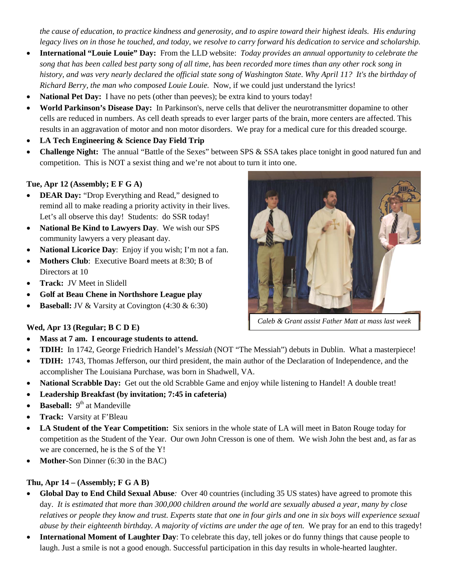*the cause of education, to practice kindness and generosity, and to aspire toward their highest ideals. His enduring legacy lives on in those he touched, and today, we resolve to carry forward his dedication to service and scholarship.*

- **International "Louie Louie" Day:** From the LLD website: *Today provides an annual opportunity to celebrate the song that has been called best party song of all time, has been recorded more times than any other rock song in history, and was very nearly declared the official state song of Washington State*. *Why April 11? It's the birthday of Richard Berry, the man who composed Louie Louie.* Now, if we could just understand the lyrics!
- **National Pet Day:** I have no pets (other than peeves); be extra kind to yours today!
- **World Parkinson's Disease Day:** In Parkinson's, nerve cells that deliver the neurotransmitter dopamine to other cells are reduced in numbers. As cell death spreads to ever larger parts of the brain, more centers are affected. This results in an aggravation of motor and non motor disorders. We pray for a medical cure for this dreaded scourge.
- **LA Tech Engineering & Science Day Field Trip**
- **Challenge Night:** The annual "Battle of the Sexes" between SPS & SSA takes place tonight in good natured fun and competition. This is NOT a sexist thing and we're not about to turn it into one.

## **Tue, Apr 12 (Assembly; E F G A)**

- **DEAR Day:** "Drop Everything and Read," designed to remind all to make reading a priority activity in their lives. Let's all observe this day! Students: do SSR today!
- **National Be Kind to Lawyers Day**. We wish our SPS community lawyers a very pleasant day.
- **National Licorice Day**: Enjoy if you wish; I'm not a fan.
- **Mothers Club**: Executive Board meets at 8:30; B of Directors at 10
- **Track:** JV Meet in Slidell
- **Golf at Beau Chene in Northshore League play**
- **Baseball:** JV & Varsity at Covington (4:30 & 6:30)

#### **Wed, Apr 13 (Regular; B C D E)**

- **Mass at 7 am. I encourage students to attend.**
- **TDIH:** In 1742, George Friedrich Handel's *Messiah* (NOT "The Messiah") debuts in Dublin. What a masterpiece!
- **TDIH:** 1743, Thomas Jefferson, our third president, the main author of the Declaration of Independence, and the accomplisher The Louisiana Purchase, was born in Shadwell, VA.
- **National Scrabble Day:** Get out the old Scrabble Game and enjoy while listening to Handel! A double treat!
- **Leadership Breakfast (by invitation; 7:45 in cafeteria)**
- **Baseball:** 9<sup>th</sup> at Mandeville
- **Track:** Varsity at F'Bleau
- **LA Student of the Year Competition:** Six seniors in the whole state of LA will meet in Baton Rouge today for competition as the Student of the Year. Our own John Cresson is one of them. We wish John the best and, as far as we are concerned, he is the S of the Y!
- **Mother-Son Dinner** (6:30 in the BAC)

#### **Thu, Apr 14 – (Assembly; F G A B)**

- **Global Day to End Child Sexual Abuse***:* Over 40 countries (including 35 US states) have agreed to promote this day. *It is estimated that more than 300,000 children around the world are sexually abused a year, many by close relatives or people they know and trust. Experts state that one in four girls and one in six boys will experience sexual abuse by their eighteenth birthday. A majority of victims are under the age of ten.* We pray for an end to this tragedy!
- **International Moment of Laughter Day**: To celebrate this day, tell jokes or do funny things that cause people to laugh. Just a smile is not a good enough. Successful participation in this day results in whole-hearted laughter.

*Caleb & Grant assist Father Matt at mass last week*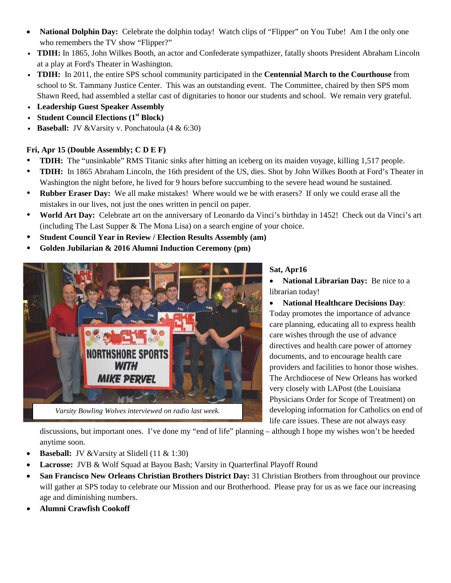- **National Dolphin Day:** Celebrate the dolphin today! Watch clips of "Flipper" on You Tube! Am I the only one who remembers the TV show "Flipper?"
- v **TDIH:** In 1865, John Wilkes Booth, an actor and Confederate sympathizer, fatally shoots President Abraham Lincoln at a play at Ford's Theater in Washington.
- v **TDIH:** In 2011, the entire SPS school community participated in the **Centennial March to the Courthouse** from school to St. Tammany Justice Center.This was an outstanding event. The Committee, chaired by then SPS mom Shawn Reed, had assembled a stellar cast of dignitaries to honor our students and school. We remain very grateful.
- v **Leadership Guest Speaker Assembly**
- v **Student Council Elections (1st Block)**
- **Baseball: JV** & Varsity v. Ponchatoula (4 & 6:30)

# **Fri, Apr 15 (Double Assembly; C D E F)**

- **TDIH:** The "unsinkable" RMS Titanic sinks after hitting an iceberg on its maiden voyage, killing 1,517 people.
- **TDIH:** In 1865 Abraham Lincoln, the 16th president of the US, dies. Shot by John Wilkes Booth at Ford's Theater in Washington the night before, he lived for 9 hours before succumbing to the severe head wound he sustained.
- **Rubber Eraser Day:** We all make mistakes! Where would we be with erasers? If only we could erase all the mistakes in our lives, not just the ones written in pencil on paper.
- **World Art Day:** Celebrate art on the anniversary of Leonardo da Vinci's birthday in 1452! Check out da Vinci's art (including The Last Supper & The Mona Lisa) on a search engine of your choice.
- **Student Council Year in Review / Election Results Assembly (am)**
- **Golden Jubilarian & 2016 Alumni Induction Ceremony (pm)**



*Varsity Bowling Wolves interviewed on radio last week.*

# **Sat, Apr16**

• **National Librarian Day:** Be nice to a librarian today!

• **National Healthcare Decisions Day**: Today promotes the importance of advance care planning, educating all to express health care wishes through the use of advance directives and health care power of attorney documents, and to encourage health care providers and facilities to honor those wishes. The Archdiocese of New Orleans has worked very closely with LAPost (the Louisiana Physicians Order for Scope of Treatment) on developing information for Catholics on end of life care issues. These are not always easy

discussions, but important ones. I've done my "end of life" planning – although I hope my wishes won't be heeded anytime soon.

- **Baseball:** JV & Varsity at Slidell (11 & 1:30)
- **Lacrosse:** JVB & Wolf Squad at Bayou Bash; Varsity in Quarterfinal Playoff Round
- **San Francisco New Orleans Christian Brothers District Day:** 31 Christian Brothers from throughout our province will gather at SPS today to celebrate our Mission and our Brotherhood. Please pray for us as we face our increasing age and diminishing numbers.
- **Alumni Crawfish Cookoff**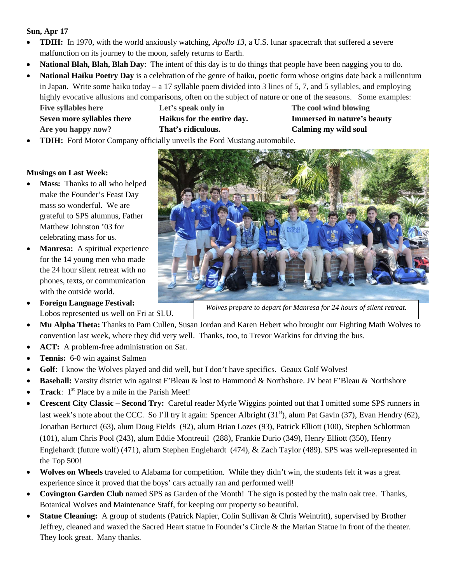## **Sun, Apr 17**

- **TDIH:** In 1970, with the world anxiously watching, *Apollo 13*, a U.S. lunar spacecraft that suffered a severe malfunction on its journey to the moon, safely returns to Earth.
- **National Blah, Blah, Blah Day**: The intent of this day is to do things that people have been nagging you to do.
- **National Haiku Poetry Day** is a celebration of the genre of haiku, poetic form whose origins date back a millennium in Japan. Write some haiku today – a 17 syllable poem divided into 3 lines of 5, 7, and 5 syllables, and employing highly evocative allusions and comparisons, often on the subject of nature or one of the seasons. Some examples: **Five syllables here Let's speak only in The cool wind blowing**

**Are you happy now? That's ridiculous. Calming my wild soul**

**Seven more syllables there Haikus for the entire day. Immersed in nature's beauty**

• **TDIH:** Ford Motor Company officially unveils the Ford Mustang automobile.

## **Musings on Last Week:**

- **Mass:** Thanks to all who helped make the Founder's Feast Day mass so wonderful. We are grateful to SPS alumnus, Father Matthew Johnston '03 for celebrating mass for us.
- **Manresa:** A spiritual experience for the 14 young men who made the 24 hour silent retreat with no phones, texts, or communication with the outside world.
- **Foreign Language Festival:**  Lobos represented us well on Fri at SLU.



*Wolves prepare to depart for Manresa for 24 hours of silent retreat.*

- **Mu Alpha Theta:** Thanks to Pam Cullen, Susan Jordan and Karen Hebert who brought our Fighting Math Wolves to convention last week, where they did very well. Thanks, too, to Trevor Watkins for driving the bus.
- **ACT:** A problem-free administration on Sat.
- **Tennis:** 6-0 win against Salmen
- **Golf**: I know the Wolves played and did well, but I don't have specifics. Geaux Golf Wolves!
- **Baseball:** Varsity district win against F'Bleau & lost to Hammond & Northshore. JV beat F'Bleau & Northshore
- **Track**:  $1<sup>st</sup>$  Place by a mile in the Parish Meet!
- **Crescent City Classic – Second Try:** Careful reader Myrle Wiggins pointed out that I omitted some SPS runners in last week's note about the CCC. So I'll try it again: Spencer Albright (31<sup>st</sup>), alum Pat Gavin (37), Evan Hendry (62), Jonathan Bertucci (63), alum Doug Fields (92), alum Brian Lozes (93), Patrick Elliott (100), Stephen Schlottman (101), alum Chris Pool (243), alum Eddie Montreuil (288), Frankie Durio (349), Henry Elliott (350), Henry Englehardt (future wolf) (471), alum Stephen Englehardt (474), & Zach Taylor (489). SPS was well-represented in the Top 500!
- Wolves on Wheels traveled to Alabama for competition. While they didn't win, the students felt it was a great experience since it proved that the boys' cars actually ran and performed well!
- **Covington Garden Club** named SPS as Garden of the Month! The sign is posted by the main oak tree. Thanks, Botanical Wolves and Maintenance Staff, for keeping our property so beautiful.
- **Statue Cleaning:** A group of students (Patrick Napier, Colin Sullivan & Chris Weintritt), supervised by Brother Jeffrey, cleaned and waxed the Sacred Heart statue in Founder's Circle & the Marian Statue in front of the theater. They look great. Many thanks.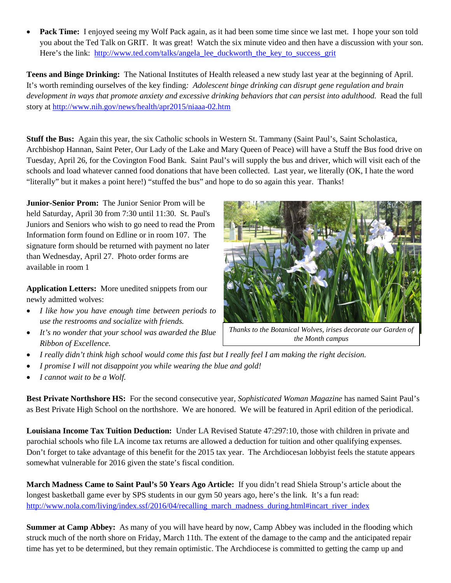• **Pack Time:** I enjoyed seeing my Wolf Pack again, as it had been some time since we last met. I hope your son told you about the Ted Talk on GRIT. It was great! Watch the six minute video and then have a discussion with your son. Here's the link: [http://www.ted.com/talks/angela\\_lee\\_duckworth\\_the\\_key\\_to\\_success\\_grit](http://www.ted.com/talks/angela_lee_duckworth_the_key_to_success_grit)

**Teens and Binge Drinking:** The National Institutes of Health released a new study last year at the beginning of April. It's worth reminding ourselves of the key finding*: Adolescent binge drinking can disrupt gene regulation and brain development in ways that promote anxiety and excessive drinking behaviors that can persist into adulthood.* Read the full story at<http://www.nih.gov/news/health/apr2015/niaaa-02.htm>

**Stuff the Bus:** Again this year, the six Catholic schools in Western St. Tammany (Saint Paul's, Saint Scholastica, Archbishop Hannan, Saint Peter, Our Lady of the Lake and Mary Queen of Peace) will have a Stuff the Bus food drive on Tuesday, April 26, for the Covington Food Bank. Saint Paul's will supply the bus and driver, which will visit each of the schools and load whatever canned food donations that have been collected. Last year, we literally (OK, I hate the word "literally" but it makes a point here!) "stuffed the bus" and hope to do so again this year. Thanks!

**Junior-Senior Prom:** The Junior Senior Prom will be held Saturday, April 30 from 7:30 until 11:30. St. Paul's Juniors and Seniors who wish to go need to read the Prom Information form found on Edline or in room 107. The signature form should be returned with payment no later than Wednesday, April 27. Photo order forms are available in room 1

**Application Letters:** More unedited snippets from our newly admitted wolves:

- *I like how you have enough time between periods to use the restrooms and socialize with friends.*
- *It's no wonder that your school was awarded the Blue Ribbon of Excellence.*



*Thanks to the Botanical Wolves, irises decorate our Garden of the Month campus*

- *I really didn't think high school would come this fast but I really feel I am making the right decision.*
- *I promise I will not disappoint you while wearing the blue and gold!*
- *I cannot wait to be a Wolf.*

**Best Private Northshore HS:** For the second consecutive year*, Sophisticated Woman Magazine* has named Saint Paul's as Best Private High School on the northshore. We are honored. We will be featured in April edition of the periodical.

**Louisiana Income Tax Tuition Deduction:** Under LA Revised Statute 47:297:10, those with children in private and parochial schools who file LA income tax returns are allowed a deduction for tuition and other qualifying expenses. Don't forget to take advantage of this benefit for the 2015 tax year. The Archdiocesan lobbyist feels the statute appears somewhat vulnerable for 2016 given the state's fiscal condition.

**March Madness Came to Saint Paul's 50 Years Ago Article:** If you didn't read Shiela Stroup's article about the longest basketball game ever by SPS students in our gym 50 years ago, here's the link. It's a fun read: [http://www.nola.com/living/index.ssf/2016/04/recalling\\_march\\_madness\\_during.html#incart\\_river\\_index](http://www.nola.com/living/index.ssf/2016/04/recalling_march_madness_during.html#incart_river_index)

**Summer at Camp Abbey:** As many of you will have heard by now, Camp Abbey was included in the flooding which struck much of the north shore on Friday, March 11th. The extent of the damage to the camp and the anticipated repair time has yet to be determined, but they remain optimistic. The Archdiocese is committed to getting the camp up and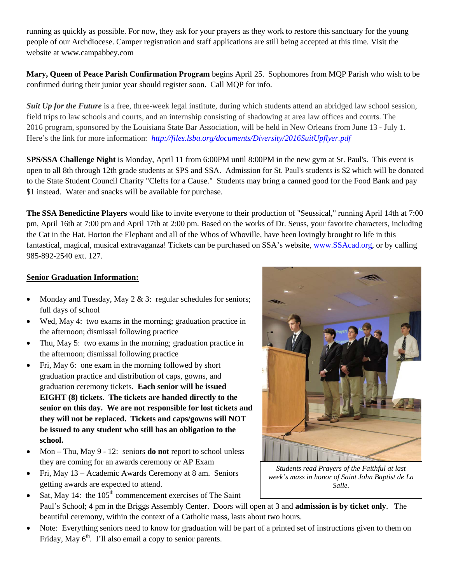running as quickly as possible. For now, they ask for your prayers as they work to restore this sanctuary for the young people of our Archdiocese. Camper registration and staff applications are still being accepted at this time. Visit the website at www.campabbey.com

**Mary, Queen of Peace Parish Confirmation Program** begins April 25. Sophomores from MQP Parish who wish to be confirmed during their junior year should register soon. Call MQP for info.

*Suit Up for the Future* is a free, three-week legal institute, during which students attend an abridged law school session, field trips to law schools and courts, and an internship consisting of shadowing at area law offices and courts. The 2016 program, sponsored by the Louisiana State Bar Association, will be held in New Orleans from June 13 - July 1. Here's the link for more information: *<http://files.lsba.org/documents/Diversity/2016SuitUpflyer.pdf>*

**SPS/SSA Challenge Night** is Monday, April 11 from 6:00PM until 8:00PM in the new gym at St. Paul's. This event is open to all 8th through 12th grade students at SPS and SSA. Admission for St. Paul's students is \$2 which will be donated to the State Student Council Charity "Clefts for a Cause." Students may bring a canned good for the Food Bank and pay \$1 instead. Water and snacks will be available for purchase.

**The SSA Benedictine Players** would like to invite everyone to their production of "Seussical," running April 14th at 7:00 pm, April 16th at 7:00 pm and April 17th at 2:00 pm. Based on the works of Dr. Seuss, your favorite characters, including the Cat in the Hat, Horton the Elephant and all of the Whos of Whoville, have been lovingly brought to life in this fantastical, magical, musical extravaganza! Tickets can be purchased on SSA's website[, www.SSAcad.org,](http://www.ssacad.org/) or by calling 985-892-2540 ext. 127.

## **Senior Graduation Information:**

- Monday and Tuesday, May  $2 \& 3$ : regular schedules for seniors; full days of school
- Wed, May 4: two exams in the morning; graduation practice in the afternoon; dismissal following practice
- Thu, May 5: two exams in the morning; graduation practice in the afternoon; dismissal following practice
- Fri, May 6: one exam in the morning followed by short graduation practice and distribution of caps, gowns, and graduation ceremony tickets. **Each senior will be issued EIGHT (8) tickets. The tickets are handed directly to the senior on this day. We are not responsible for lost tickets and they will not be replaced. Tickets and caps/gowns will NOT be issued to any student who still has an obligation to the school.**
- Mon Thu, May 9 12: seniors **do not** report to school unless they are coming for an awards ceremony or AP Exam
- Fri, May 13 Academic Awards Ceremony at 8 am. Seniors getting awards are expected to attend.
- Sat, May 14: the  $105<sup>th</sup>$  commencement exercises of The Saint Paul's School; 4 pm in the Briggs Assembly Center. Doors will open at 3 and **admission is by ticket only**. The beautiful ceremony, within the context of a Catholic mass, lasts about two hours.
- Note: Everything seniors need to know for graduation will be part of a printed set of instructions given to them on Friday, May  $6<sup>th</sup>$ . I'll also email a copy to senior parents.



*Students read Prayers of the Faithful at last week's mass in honor of Saint John Baptist de La Salle.*